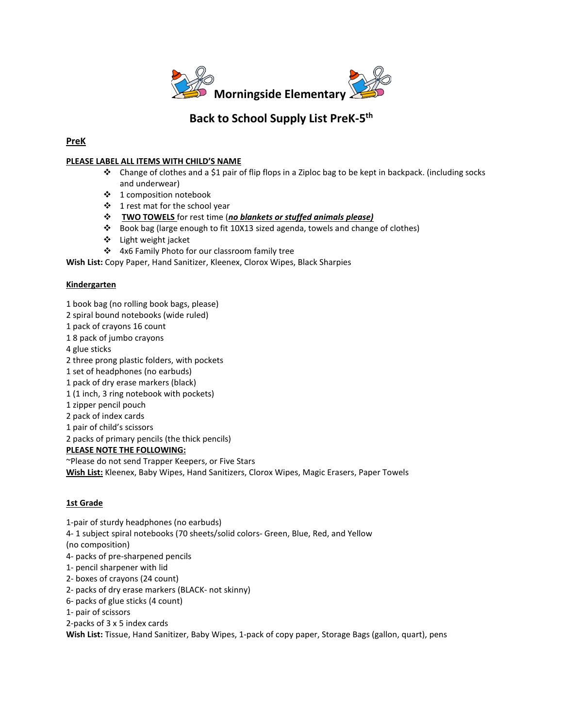

# **Back to School Supply List PreK-5th**

## **PreK**

#### **PLEASE LABEL ALL ITEMS WITH CHILD'S NAME**

- **Change of clothes and a \$1 pair of flip flops in a Ziploc bag to be kept in backpack. (including socks** and underwear)
- 1 composition notebook
- $\div$  1 rest mat for the school year
- **TWO TOWELS** for rest time (*no blankets or stuffed animals please)*
- Book bag (large enough to fit 10X13 sized agenda, towels and change of clothes)
- Light weight jacket
- 4x6 Family Photo for our classroom family tree

**Wish List:** Copy Paper, Hand Sanitizer, Kleenex, Clorox Wipes, Black Sharpies

#### **Kindergarten**

- 1 book bag (no rolling book bags, please)
- 2 spiral bound notebooks (wide ruled)
- 1 pack of crayons 16 count
- 1 8 pack of jumbo crayons
- 4 glue sticks
- 2 three prong plastic folders, with pockets
- 1 set of headphones (no earbuds)
- 1 pack of dry erase markers (black)
- 1 (1 inch, 3 ring notebook with pockets)
- 1 zipper pencil pouch
- 2 pack of index cards
- 1 pair of child's scissors
- 2 packs of primary pencils (the thick pencils)

#### **PLEASE NOTE THE FOLLOWING:**

~Please do not send Trapper Keepers, or Five Stars

**Wish List:** Kleenex, Baby Wipes, Hand Sanitizers, Clorox Wipes, Magic Erasers, Paper Towels

#### **1st Grade**

- 1-pair of sturdy headphones (no earbuds)
- 4- 1 subject spiral notebooks (70 sheets/solid colors- Green, Blue, Red, and Yellow
- (no composition)
- 4- packs of pre-sharpened pencils
- 1- pencil sharpener with lid
- 2- boxes of crayons (24 count)
- 2- packs of dry erase markers (BLACK- not skinny)
- 6- packs of glue sticks (4 count)
- 1- pair of scissors

2-packs of 3 x 5 index cards

**Wish List:** Tissue, Hand Sanitizer, Baby Wipes, 1-pack of copy paper, Storage Bags (gallon, quart), pens